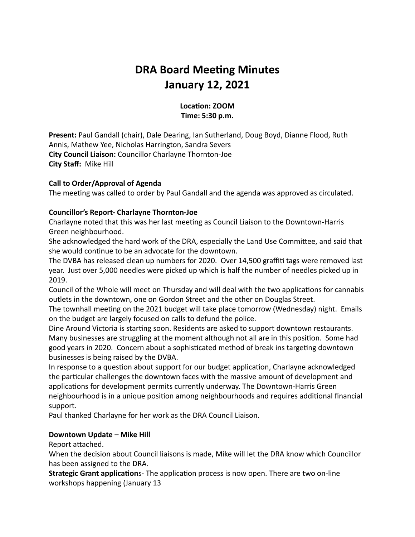# **DRA Board Meeting Minutes January 12, 2021**

### Location: **ZOOM Time: 5:30 p.m.**

**Present:** Paul Gandall (chair), Dale Dearing, Ian Sutherland, Doug Boyd, Dianne Flood, Ruth Annis, Mathew Yee, Nicholas Harrington, Sandra Severs **City Council Liaison:** Councillor Charlayne Thornton-Joe **City Staff:** Mike Hill

#### **Call to Order/Approval of Agenda**

The meeting was called to order by Paul Gandall and the agenda was approved as circulated.

#### **Councillor's Report- Charlayne Thornton-Joe**

Charlayne noted that this was her last meeting as Council Liaison to the Downtown-Harris Green neighbourhood.

She acknowledged the hard work of the DRA, especially the Land Use Committee, and said that she would continue to be an advocate for the downtown.

The DVBA has released clean up numbers for 2020. Over 14,500 graffiti tags were removed last year. Just over 5,000 needles were picked up which is half the number of needles picked up in 2019.

Council of the Whole will meet on Thursday and will deal with the two applications for cannabis outlets in the downtown, one on Gordon Street and the other on Douglas Street.

The townhall meeting on the 2021 budget will take place tomorrow (Wednesday) night. Emails on the budget are largely focused on calls to defund the police.

Dine Around Victoria is starting soon. Residents are asked to support downtown restaurants. Many businesses are struggling at the moment although not all are in this position. Some had good years in 2020. Concern about a sophisticated method of break ins targeting downtown businesses is being raised by the DVBA.

In response to a question about support for our budget application, Charlayne acknowledged the particular challenges the downtown faces with the massive amount of development and applications for development permits currently underway. The Downtown-Harris Green neighbourhood is in a unique position among neighbourhoods and requires additional financial support.

Paul thanked Charlayne for her work as the DRA Council Liaison.

#### **Downtown Update – Mike Hill**

Report attached.

When the decision about Council liaisons is made, Mike will let the DRA know which Councillor has been assigned to the DRA.

**Strategic Grant application**s- The application process is now open. There are two on-line workshops happening (January 13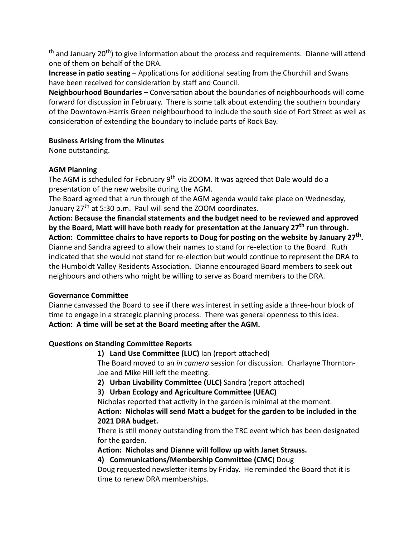$th$  and January 20<sup>th</sup>) to give information about the process and requirements. Dianne will attend one of them on behalf of the DRA.

**Increase in patio seating** – Applications for additional seating from the Churchill and Swans have been received for consideration by staff and Council.

**Neighbourhood Boundaries** – Conversation about the boundaries of neighbourhoods will come forward for discussion in February. There is some talk about extending the southern boundary of the Downtown-Harris Green neighbourhood to include the south side of Fort Street as well as consideration of extending the boundary to include parts of Rock Bay.

### **Business Arising from the Minutes**

None outstanding.

### **AGM Planning**

The AGM is scheduled for February 9<sup>th</sup> via ZOOM. It was agreed that Dale would do a presentation of the new website during the AGM.

The Board agreed that a run through of the AGM agenda would take place on Wednesday, January  $27<sup>th</sup>$  at 5:30 p.m. Paul will send the ZOOM coordinates.

Action: Because the financial statements and the budget need to be reviewed and approved by the Board, Matt will have both ready for presentation at the January 27<sup>th</sup> run through. Action: Committee chairs to have reports to Doug for posting on the website by January 27<sup>th</sup>. Dianne and Sandra agreed to allow their names to stand for re-election to the Board. Ruth indicated that she would not stand for re-election but would continue to represent the DRA to the Humboldt Valley Residents Association. Dianne encouraged Board members to seek out neighbours and others who might be willing to serve as Board members to the DRA.

### **Governance Committee**

Dianne canvassed the Board to see if there was interest in setting aside a three-hour block of me to engage in a strategic planning process. There was general openness to this idea. Action: A time will be set at the Board meeting after the AGM.

### **Questions on Standing Committee Reports**

The Board moved to an *in camera* session for discussion. Charlayne Thornton-Joe and Mike Hill left the meeting. 1) Land Use Committee (LUC) Ian (report attached)

**2) Urban Livability Committee (ULC)** Sandra (report attached)

**3)** Urban Ecology and Agriculture Committee (UEAC)

Nicholas reported that activity in the garden is minimal at the moment. Action: Nicholas will send Matt a budget for the garden to be included in the **2021 DRA budget.**

There is still money outstanding from the TRC event which has been designated for the garden.

Action: Nicholas and Dianne will follow up with Janet Strauss.

### 4) **Communications/Membership Committee (CMC**) Doug

Doug requested newsletter items by Friday. He reminded the Board that it is time to renew DRA memberships.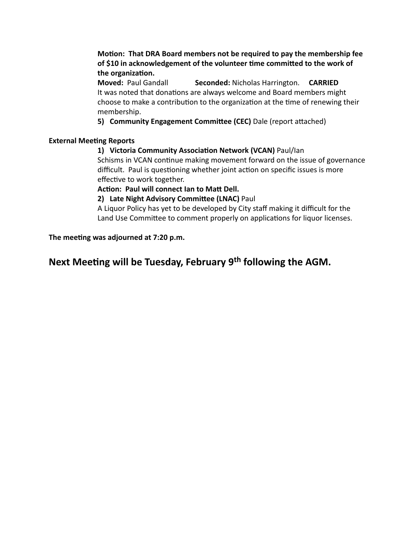**Motion: That DRA Board members not be required to pay the membership fee** of \$10 in acknowledgement of the volunteer time committed to the work of the organization.

**Moved:** Paul Gandall **Seconded:** Nicholas Harrington. **CARRIED** It was noted that donations are always welcome and Board members might choose to make a contribution to the organization at the time of renewing their membership.

**5) Community Engagement Committee (CEC)** Dale (report attached)

#### **External Meeting Reports**

### 1) Victoria Community Association Network (VCAN) Paul/Ian

Schisms in VCAN continue making movement forward on the issue of governance difficult. Paul is questioning whether joint action on specific issues is more effective to work together.

#### Action: Paul will connect Ian to Matt Dell.

**2) Late Night Advisory Committee (LNAC)** Paul

A Liquor Policy has yet to be developed by City staff making it difficult for the Land Use Committee to comment properly on applications for liquor licenses.

The meeting was adjourned at 7:20 p.m.

## **Next Meeting will be Tuesday, February 9<sup>th</sup> following the AGM.**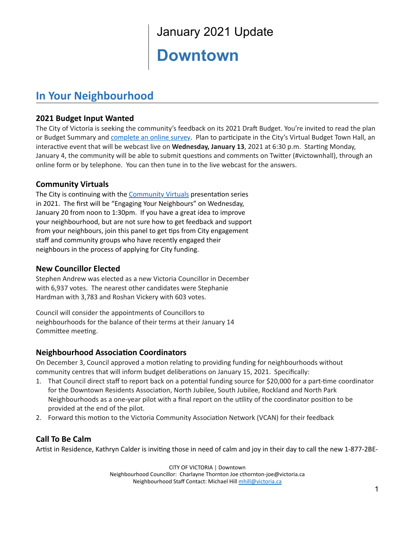# January 2021 Update

# **Downtown**

# **In Your Neighbourhood**

## **2021 Budget Input Wanted**

The City of Victoria is seeking the community's feedback on its 2021 Draft Budget. You're invited to read the plan or Budget Summary and *[complete](https://can01.safelinks.protection.outlook.com/?url=https%3A%2F%2Fengage.victoria.ca%2F&data=04%7C01%7Cmhill%40victoria.ca%7C8a31c3cb12e7462b325e08d89bb74eea%7Cd7098116c6e84d2a89eedb15b6c23375%7C0%7C0%7C637430558894363640%7CUnknown%7CTWFpbGZsb3d8eyJWIjoiMC4wLjAwMDAiLCJQIjoiV2luMzIiLCJBTiI6Ik1haWwiLCJXVCI6Mn0%3D%7C1000&sdata=MNUfUNmClrbFmpqt04y9ZPTMiG5T91byJbtWikYsk6M%3D&reserved=0) an online survey*. Plan to participate in the City's Virtual Budget Town Hall, an interactive event that will be webcast live on Wednesday, January 13, 2021 at 6:30 p.m. Starting Monday, January 4, the community will be able to submit questions and comments on Twitter (#victownhall), through an online form or by telephone. You can then tune in to the live webcast for the answers.

### **Community Virtuals**

The City is continuing with the [Community](https://www.victoria.ca/EN/main/residents/neighbourhoods/community-virtuals.html) Virtuals presentation series in 2021. The first will be "Engaging Your Neighbours" on Wednesday, January 20 from noon to 1:30pm. If you have a great idea to improve your neighbourhood, but are not sure how to get feedback and support from your neighbours, join this panel to get tips from City engagement staff and community groups who have recently engaged their neighbours in the process of applying for City funding.

### **New Councillor Elected**

Stephen Andrew was elected as a new Victoria Councillor in December with 6,937 votes. The nearest other candidates were Stephanie Hardman with 3,783 and Roshan Vickery with 603 votes.

Council will consider the appointments of Councillors to neighbourhoods for the balance of their terms at their January 14 Committee meeting.

### **Neighbourhood Association Coordinators**

On December 3, Council approved a motion relating to providing funding for neighbourhoods without community centres that will inform budget deliberations on January 15, 2021. Specifically:

- 1. That Council direct staff to report back on a potential funding source for \$20,000 for a part-time coordinator for the Downtown Residents Association, North Jubilee, South Jubilee, Rockland and North Park Neighbourhoods as a one-year pilot with a final report on the utility of the coordinator position to be provided at the end of the pilot.
- 2. Forward this motion to the Victoria Community Association Network (VCAN) for their feedback

## **Call To Be Calm**

Artist in Residence, Kathryn Calder is inviting those in need of calm and joy in their day to call the new 1-877-2BE-

CITY OF VICTORIA | Downtown Neighbourhood Councillor: Charlayne Thornton Joe cthornton-joe@victoria.ca Neighbourhood Staff Contact: Michael Hill [mhill@victoria.ca](mailto:mhill@victoria.ca)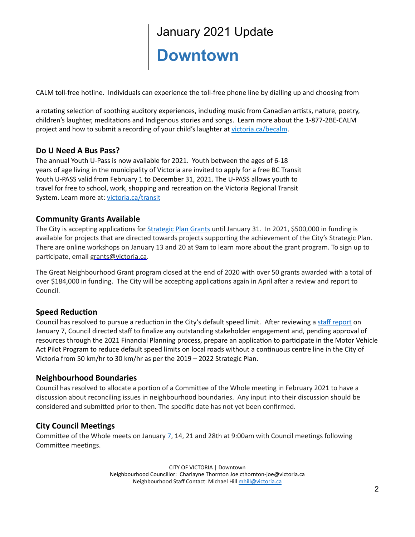# January 2021 Update **Downtown**

CALM toll-free hotline. Individuals can experience the toll-free phone line by dialling up and choosing from

a rotating selection of soothing auditory experiences, including music from Canadian artists, nature, poetry, children's laughter, meditations and Indigenous stories and songs. Learn more about the 1-877-2BE-CALM project and how to submit a recording of your child's laughter at [victoria.ca/becalm](https://www.victoria.ca/EN/main/residents/culture/public-art/artist-in-residence-keep-art-in-mind-program/1-877-2be-calm-project.html).

#### **Do U Need A Bus Pass?**

The annual Youth U-Pass is now available for 2021. Youth between the ages of 6-18 years of age living in the municipality of Victoria are invited to apply for a free BC Transit Youth U-PASS valid from February 1 to December 31, 2021. The U-PASS allows youth to travel for free to school, work, shopping and recreation on the Victoria Regional Transit System. Learn more at: [victoria.ca/transit](https://can01.safelinks.protection.outlook.com/?url=https%3A%2F%2Fl.facebook.com%2Fl.php%3Fu%3Dhttp%253A%252F%252Fvictoria.ca%252Ftransit%253Ffbclid%253DIwAR3fket0VINPdego44xKFjnli5oWzPtjfivYAT6sjYuPsbxKnYdW1kZF7wk%26h%3DAT3p0fxrwAIBE0iMG19NtUKm-jwMHC_B-f4bt7V8zytrITq5ic5Vm4XI_pGUS1MEx0d7PRvoszlq9b62ywX2Srvs8hgsuDuRX1IOBlXLYG0av47p3LTYmCDQZm-clvrCIA%26__tn__%3D-UK-R%26c%255b0%255d%3DAT3_MOJ3awHI3En-uycz4M6ppEajt08Fg-BZGNvswFokcMAbrBc4qatkFGtUA9UjbVih2vMtqtkAfhhkYqT4gpaPu8vzaORhLP4vxye-SzFGDJfPT5i9qfAFZQi5FgGMwZb0Mb9vrcO8Ci2G8Vi6OKLCRv-bdiFzyKhqBdpYjD_1Yh4hnTOgj8w1PRu2P7Hkr9ChTGNx4w1D32SdGUlpXQ&data=04%7C01%7Cmhill%40victoria.ca%7C3a219c07fb1c4c42e97308d8a2161858%7Cd7098116c6e84d2a89eedb15b6c23375%7C0%7C0%7C637437563083626506%7CUnknown%7CTWFpbGZsb3d8eyJWIjoiMC4wLjAwMDAiLCJQIjoiV2luMzIiLCJBTiI6Ik1haWwiLCJXVCI6Mn0%3D%7C1000&sdata=r7xQcdYtwhBiZabs8C1QVjsa2Uc1ZIQYfogrsmLrFrU%3D&reserved=0)

#### **Community Grants Available**

The City is accepting applications for **[Strategic](https://www.victoria.ca/EN/meta/news/news-archives/2020-news/now-accepting-applications-for-strategic-plan-grants.html) Plan Grants until January 31.** In 2021, \$500,000 in funding is available for projects that are directed towards projects supporting the achievement of the City's Strategic Plan. There are online workshops on January 13 and 20 at 9am to learn more about the grant program. To sign up to participate, email [grants@victoria.ca.](mailto:grants@victoria.ca)

The Great Neighbourhood Grant program closed at the end of 2020 with over 50 grants awarded with a total of over \$184,000 in funding. The City will be accepting applications again in April after a review and report to Council.

### **Speed Reduction**

Council has resolved to pursue a reduction in the City's default speed limit. After reviewing a staff [report](https://pub-victoria.escribemeetings.com/filestream.ashx?DocumentId=62575) on January 7, Council directed staff to finalize any outstanding stakeholder engagement and, pending approval of resources through the 2021 Financial Planning process, prepare an application to participate in the Motor Vehicle Act Pilot Program to reduce default speed limits on local roads without a continuous centre line in the City of Victoria from 50 km/hr to 30 km/hr as per the 2019 – 2022 Strategic Plan.

#### **Neighbourhood Boundaries**

Council has resolved to allocate a portion of a Committee of the Whole meeting in February 2021 to have a discussion about reconciling issues in neighbourhood boundaries. Any input into their discussion should be considered and submitted prior to then. The specific date has not yet been confirmed.

### **City Council Meetings**

Committee of the Whole meets on January  $Z$ , 14, 21 and 28th at 9:00am with Council meetings following Committee meetings.

> CITY OF VICTORIA | Downtown Neighbourhood Councillor: Charlayne Thornton Joe cthornton-joe@victoria.ca Neighbourhood Staff Contact: Michael Hill [mhill@victoria.ca](mailto:mhill@victoria.ca)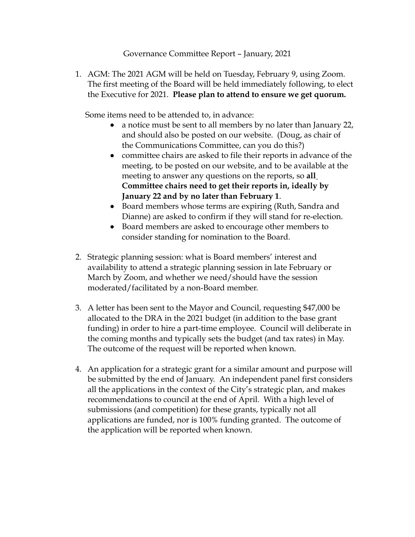Governance Committee Report – January, 2021

AGM: The 2021 AGM will be held on Tuesday, February 9, using Zoom. 1. The first meeting of the Board will be held immediately following, to elect the Executive for 2021. **Please plan to attend to ensure we get quorum.**

Some items need to be attended to, in advance:

- a notice must be sent to all members by no later than January 22, and should also be posted on our website. (Doug, as chair of the Communications Committee, can you do this?)
- committee chairs are asked to file their reports in advance of the meeting, to be posted on our website, and to be available at the meeting to answer any questions on the reports, so **all Committee chairs need to get their reports in, ideally by January 22 and by no later than February 1**.
- Board members whose terms are expiring (Ruth, Sandra and Dianne) are asked to confirm if they will stand for re-election.
- Board members are asked to encourage other members to consider standing for nomination to the Board.
- Strategic planning session: what is Board members' interest and 2. availability to attend a strategic planning session in late February or March by Zoom, and whether we need/should have the session moderated/facilitated by a non-Board member.
- A letter has been sent to the Mayor and Council, requesting \$47,000 be 3. allocated to the DRA in the 2021 budget (in addition to the base grant funding) in order to hire a part-time employee. Council will deliberate in the coming months and typically sets the budget (and tax rates) in May. The outcome of the request will be reported when known.
- An application for a strategic grant for a similar amount and purpose will 4.be submitted by the end of January. An independent panel first considers all the applications in the context of the City's strategic plan, and makes recommendations to council at the end of April. With a high level of submissions (and competition) for these grants, typically not all applications are funded, nor is 100% funding granted. The outcome of the application will be reported when known.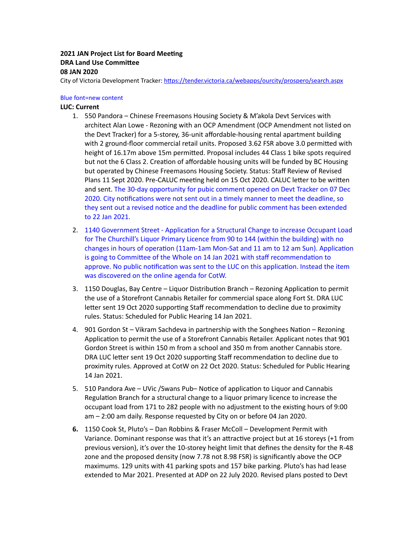#### **2021 JAN Project List for Board Meeng DRA** Land Use Committee **08 JAN 2020**

City of Victoria Development Tracker: https://tender.victoria.ca/webapps/ourcity/prospero/search.aspx

#### Blue font=new content

#### **LUC: Current**

- 550 Pandora Chinese Freemasons Housing Society & M'akola Devt Services with 1. architect Alan Lowe - Rezoning with an OCP Amendment (OCP Amendment not listed on the Devt Tracker) for a 5-storey, 36-unit affordable-housing rental apartment building with 2 ground-floor commercial retail units. Proposed 3.62 FSR above 3.0 permitted with height of 16.17m above 15m permitted. Proposal includes 44 Class 1 bike spots required but not the 6 Class 2. Creation of affordable housing units will be funded by BC Housing but operated by Chinese Freemasons Housing Society. Status: Staff Review of Revised Plans 11 Sept 2020. Pre-CALUC meeting held on 15 Oct 2020. CALUC letter to be written and sent. The 30-day opportunity for pubic comment opened on Devt Tracker on 07 Dec 2020. City notifications were not sent out in a timely manner to meet the deadline, so they sent out a revised notice and the deadline for public comment has been extended to 22 Jan 2021.
- 2. 1140 Government Street Application for a Structural Change to increase Occupant Load for The Churchill's Liquor Primary Licence from 90 to 144 (within the building) with no changes in hours of operation (11am-1am Mon-Sat and 11 am to 12 am Sun). Application is going to Committee of the Whole on 14 Jan 2021 with staff recommendation to approve. No public notification was sent to the LUC on this application. Instead the item was discovered on the online agenda for CotW.
- 3. 1150 Douglas, Bay Centre Liquor Distribution Branch Rezoning Application to permit the use of a Storefront Cannabis Retailer for commercial space along Fort St. DRA LUC letter sent 19 Oct 2020 supporting Staff recommendation to decline due to proximity rules. Status: Scheduled for Public Hearing 14 Jan 2021.
- 4. 901 Gordon St Vikram Sachdeva in partnership with the Songhees Nation Rezoning Application to permit the use of a Storefront Cannabis Retailer. Applicant notes that 901 Gordon Street is within 150 m from a school and 350 m from another Cannabis store. DRA LUC letter sent 19 Oct 2020 supporting Staff recommendation to decline due to proximity rules. Approved at CotW on 22 Oct 2020. Status: Scheduled for Public Hearing 14 Jan 2021.
- 5. 510 Pandora Ave UVic /Swans Pub- Notice of application to Liquor and Cannabis Regulation Branch for a structural change to a liquor primary licence to increase the occupant load from 171 to 282 people with no adjustment to the existing hours of 9:00 am – 2:00 am daily. Response requested by City on or before 04 Jan 2020.
- 1150 Cook St, Pluto's Dan Robbins & Fraser McColl Development Permit with **6.**Variance. Dominant response was that it's an attractive project but at 16 storeys (+1 from previous version), it's over the 10-storey height limit that defines the density for the R-48 zone and the proposed density (now 7.78 not 8.98 FSR) is significantly above the OCP maximums. 129 units with 41 parking spots and 157 bike parking. Pluto's has had lease extended to Mar 2021. Presented at ADP on 22 July 2020. Revised plans posted to Devt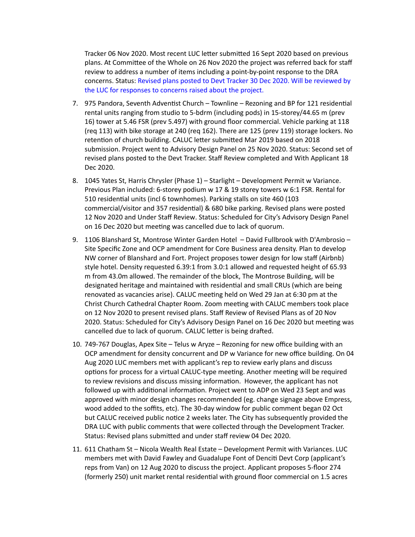Tracker 06 Nov 2020. Most recent LUC letter submitted 16 Sept 2020 based on previous plans. At Committee of the Whole on 26 Nov 2020 the project was referred back for staff review to address a number of items including a point-by-point response to the DRA concerns. Status: Revised plans posted to Devt Tracker 30 Dec 2020. Will be reviewed by the LUC for responses to concerns raised about the project.

- 7. 975 Pandora, Seventh Adventist Church Townline Rezoning and BP for 121 residential rental units ranging from studio to 5-bdrm (including pods) in 15-storey/44.65 m (prev 16) tower at 5.46 FSR (prev 5.497) with ground floor commercial. Vehicle parking at 118 (req 113) with bike storage at 240 (req 162). There are 125 (prev 119) storage lockers. No retention of church building. CALUC letter submitted Mar 2019 based on 2018 submission. Project went to Advisory Design Panel on 25 Nov 2020. Status: Second set of revised plans posted to the Devt Tracker. Staff Review completed and With Applicant 18 Dec 2020.
- 8. 1045 Yates St, Harris Chrysler (Phase 1) Starlight Development Permit w Variance. Previous Plan included: 6-storey podium w 17 & 19 storey towers w 6:1 FSR. Rental for 510 residential units (incl 6 townhomes). Parking stalls on site 460 (103 commercial/visitor and 357 residential) & 680 bike parking. Revised plans were posted 12 Nov 2020 and Under Staff Review. Status: Scheduled for City's Advisory Design Panel on 16 Dec 2020 but meeting was cancelled due to lack of quorum.
- 9. 1106 Blanshard St, Montrose Winter Garden Hotel David Fullbrook with D'Ambrosio Site Specific Zone and OCP amendment for Core Business area density. Plan to develop NW corner of Blanshard and Fort. Project proposes tower design for low staff (Airbnb) style hotel. Density requested 6.39:1 from 3.0:1 allowed and requested height of 65.93 m from 43.0m allowed. The remainder of the block, The Montrose Building, will be designated heritage and maintained with residential and small CRUs (which are being renovated as vacancies arise). CALUC meeting held on Wed 29 Jan at 6:30 pm at the Christ Church Cathedral Chapter Room. Zoom meeting with CALUC members took place on 12 Nov 2020 to present revised plans. Staff Review of Revised Plans as of 20 Nov 2020. Status: Scheduled for City's Advisory Design Panel on 16 Dec 2020 but meeting was cancelled due to lack of quorum. CALUC letter is being drafted.
- 10. 749-767 Douglas, Apex Site Telus w Aryze Rezoning for new office building with an OCP amendment for density concurrent and DP w Variance for new office building. On 04 Aug 2020 LUC members met with applicant's rep to review early plans and discuss options for process for a virtual CALUC-type meeting. Another meeting will be required to review revisions and discuss missing information. However, the applicant has not followed up with additional information. Project went to ADP on Wed 23 Sept and was approved with minor design changes recommended (eg. change signage above Empress, wood added to the soffits, etc). The 30-day window for public comment began 02 Oct but CALUC received public notice 2 weeks later. The City has subsequently provided the DRA LUC with public comments that were collected through the Development Tracker. Status: Revised plans submitted and under staff review 04 Dec 2020.
- 611 Chatham St Nicola Wealth Real Estate Development Permit with Variances. LUC 11.members met with David Fawley and Guadalupe Font of Denciti Devt Corp (applicant's reps from Van) on 12 Aug 2020 to discuss the project. Applicant proposes 5-floor 274 (formerly 250) unit market rental residential with ground floor commercial on 1.5 acres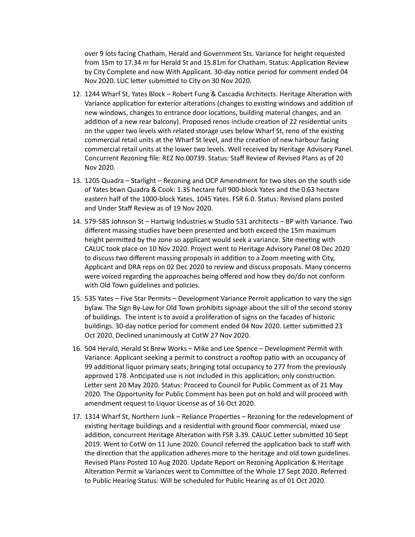over 9 lots facing Chatham, Herald and Government Sts. Variance for height requested from 15m to 17.34 m for Herald St and 15.81m for Chatham. Status: Application Review by City Complete and now With Applicant. 30-day notice period for comment ended 04 Nov 2020. LUC letter submitted to City on 30 Nov 2020.

- 12. 1244 Wharf St, Yates Block Robert Fung & Cascadia Architects. Heritage Alteration with Variance application for exterior alterations (changes to existing windows and addition of new windows, changes to entrance door locations, building material changes, and an addition of a new rear balcony). Proposed renos include creation of 22 residential units on the upper two levels with related storage uses below Wharf St, reno of the existing commercial retail units at the Wharf St level, and the creation of new harbour facing commercial retail units at the lower two levels. Well received by Heritage Advisory Panel. Concurrent Rezoning file: REZ No.00739. Status: Staff Review of Revised Plans as of 20 Nov 2020.
- 13. 1205 Quadra Starlight Rezoning and OCP Amendment for two sites on the south side of Yates btwn Quadra & Cook: 1.35 hectare full 900-block Yates and the 0.63 hectare eastern half of the 1000-block Yates, 1045 Yates. FSR 6.0. Status: Revised plans posted and Under Staff Review as of 19 Nov 2020.
- 14. 579-585 Johnson St Hartwig Industries w Studio 531 architects BP with Variance. Two different massing studies have been presented and both exceed the 15m maximum height permitted by the zone so applicant would seek a variance. Site meeting with CALUC took place on 10 Nov 2020. Project went to Heritage Advisory Panel 08 Dec 2020 to discuss two different massing proposals in addition to a Zoom meeting with City, Applicant and DRA reps on 02 Dec 2020 to review and discuss proposals. Many concerns were voiced regarding the approaches being offered and how they do/do not conform with Old Town guidelines and policies.
- 15. 535 Yates Five Star Permits Development Variance Permit application to vary the sign bylaw. The Sign By-Law for Old Town prohibits signage about the sill of the second storey of buildings. The intent is to avoid a proliferation of signs on the facades of historic buildings. 30-day notice period for comment ended 04 Nov 2020. Letter submitted 23 Oct 2020. Declined unanimously at CotW 27 Nov 2020.
- 16. 504 Herald, Herald St Brew Works Mike and Lee Spence Development Permit with Variance: Applicant seeking a permit to construct a rooftop patio with an occupancy of 99 additional liquor primary seats; bringing total occupancy to 277 from the previously approved 178. Anticipated use is not included in this application; only construction. Letter sent 20 May 2020. Status: Proceed to Council for Public Comment as of 21 May 2020. The Opportunity for Public Comment has been put on hold and will proceed with amendment request to Liquor License as of 16 Oct 2020.
- 17. 1314 Wharf St, Northern Junk Reliance Properties Rezoning for the redevelopment of existing heritage buildings and a residential with ground floor commercial, mixed use addition, concurrent Heritage Alteration with FSR 3.39. CALUC Letter submitted 10 Sept 2019. Went to CotW on 11 June 2020. Council referred the application back to staff with the direction that the application adheres more to the heritage and old town guidelines. Revised Plans Posted 10 Aug 2020. Update Report on Rezoning Application & Heritage Alteration Permit w Variances went to Committee of the Whole 17 Sept 2020. Referred to Public Hearing Status: Will be scheduled for Public Hearing as of 01 Oct 2020.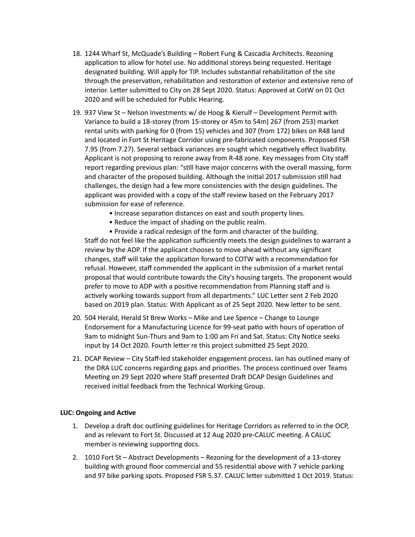- 18. 1244 Wharf St, McQuade's Building Robert Fung & Cascadia Architects. Rezoning application to allow for hotel use. No additional storeys being requested. Heritage designated building. Will apply for TIP. Includes substantial rehabilitation of the site through the preservation, rehabilitation and restoration of exterior and extensive reno of interior. Letter submitted to City on 28 Sept 2020. Status: Approved at CotW on 01 Oct 2020 and will be scheduled for Public Hearing.
- 937 View St Nelson Investments w/ de Hoog & Kierulf Development Permit with 19. Variance to build a 18-storey (from 15-storey or 45m to 54m) 267 (from 253) market rental units with parking for 0 (from 15) vehicles and 307 (from 172) bikes on R48 land and located in Fort St Heritage Corridor using pre-fabricated components. Proposed FSR 7.95 (from 7.27). Several setback variances are sought which negatively effect livability. Applicant is not proposing to rezone away from R-48 zone. Key messages from City staff report regarding previous plan: "still have major concerns with the overall massing, form and character of the proposed building. Although the initial 2017 submission still had challenges, the design had a few more consistencies with the design guidelines. The applicant was provided with a copy of the staff review based on the February 2017 submission for ease of reference.
	- Increase separation distances on east and south property lines.
	- Reduce the impact of shading on the public realm.

• Provide a radical redesign of the form and character of the building. Staff do not feel like the application sufficiently meets the design guidelines to warrant a review by the ADP. If the applicant chooses to move ahead without any significant changes, staff will take the application forward to COTW with a recommendation for refusal. However, staff commended the applicant in the submission of a market rental proposal that would contribute towards the City's housing targets. The proponent would prefer to move to ADP with a positive recommendation from Planning staff and is actively working towards support from all departments." LUC Letter sent 2 Feb 2020 based on 2019 plan. Status: With Applicant as of 25 Sept 2020. New letter to be sent.

- 20. 504 Herald, Herald St Brew Works Mike and Lee Spence Change to Lounge Endorsement for a Manufacturing Licence for 99-seat patio with hours of operation of 9am to midnight Sun-Thurs and 9am to 1:00 am Fri and Sat. Status: City Notice seeks input by 14 Oct 2020. Fourth letter re this project submitted 25 Sept 2020.
- 21. DCAP Review City Staff-led stakeholder engagement process. Ian has outlined many of the DRA LUC concerns regarding gaps and priorities. The process continued over Teams Meeting on 29 Sept 2020 where Staff presented Draft DCAP Design Guidelines and received initial feedback from the Technical Working Group.

#### **LUC: Ongoing and Active**

- 1. Develop a draft doc outlining guidelines for Heritage Corridors as referred to in the OCP, and as relevant to Fort St. Discussed at 12 Aug 2020 pre-CALUC meeting. A CALUC member is reviewing supporting docs.
- 2. 1010 Fort St Abstract Developments Rezoning for the development of a 13-storey building with ground floor commercial and 55 residential above with 7 vehicle parking and 97 bike parking spots. Proposed FSR 5.37. CALUC letter submitted 1 Oct 2019. Status: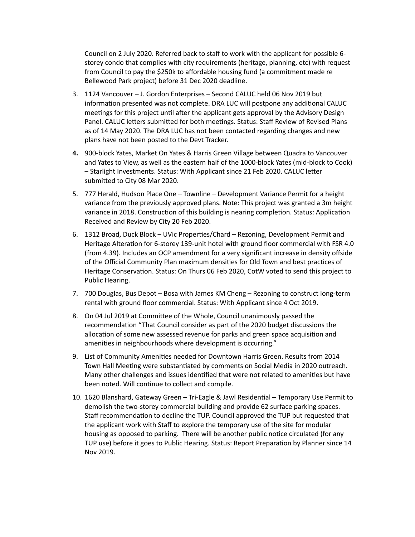Council on 2 July 2020. Referred back to staff to work with the applicant for possible 6 storey condo that complies with city requirements (heritage, planning, etc) with request from Council to pay the \$250k to affordable housing fund (a commitment made re Bellewood Park project) before 31 Dec 2020 deadline.

- 1124 Vancouver J. Gordon Enterprises Second CALUC held 06 Nov 2019 but 3. information presented was not complete. DRA LUC will postpone any additional CALUC meetings for this project until after the applicant gets approval by the Advisory Design Panel. CALUC letters submitted for both meetings. Status: Staff Review of Revised Plans as of 14 May 2020. The DRA LUC has not been contacted regarding changes and new plans have not been posted to the Devt Tracker.
- 900-block Yates, Market On Yates & Harris Green Village between Quadra to Vancouver **4.** and Yates to View, as well as the eastern half of the 1000-block Yates (mid-block to Cook) - Starlight Investments. Status: With Applicant since 21 Feb 2020. CALUC letter submitted to City 08 Mar 2020.
- 5. 777 Herald, Hudson Place One Townline Development Variance Permit for a height variance from the previously approved plans. Note: This project was granted a 3m height variance in 2018. Construction of this building is nearing completion. Status: Application Received and Review by City 20 Feb 2020.
- 6. 1312 Broad, Duck Block UVic Properties/Chard Rezoning, Development Permit and Heritage Alteration for 6-storey 139-unit hotel with ground floor commercial with FSR 4.0 (from 4.39). Includes an OCP amendment for a very significant increase in density offside of the Official Community Plan maximum densities for Old Town and best practices of Heritage Conservation. Status: On Thurs 06 Feb 2020, CotW voted to send this project to Public Hearing.
- 7. 700 Douglas, Bus Depot Bosa with James KM Cheng Rezoning to construct long-term rental with ground floor commercial. Status: With Applicant since 4 Oct 2019.
- 8. On 04 Jul 2019 at Committee of the Whole, Council unanimously passed the recommendation "That Council consider as part of the 2020 budget discussions the allocation of some new assessed revenue for parks and green space acquisition and amenities in neighbourhoods where development is occurring."
- 9. List of Community Amenities needed for Downtown Harris Green. Results from 2014 Town Hall Meeting were substantiated by comments on Social Media in 2020 outreach. Many other challenges and issues identified that were not related to amenities but have been noted. Will continue to collect and compile.
- 10. 1620 Blanshard, Gateway Green Tri-Eagle & Jawl Residential Temporary Use Permit to demolish the two-storey commercial building and provide 62 surface parking spaces. Staff recommendation to decline the TUP. Council approved the TUP but requested that the applicant work with Staff to explore the temporary use of the site for modular housing as opposed to parking. There will be another public notice circulated (for any TUP use) before it goes to Public Hearing. Status: Report Preparation by Planner since 14 Nov 2019.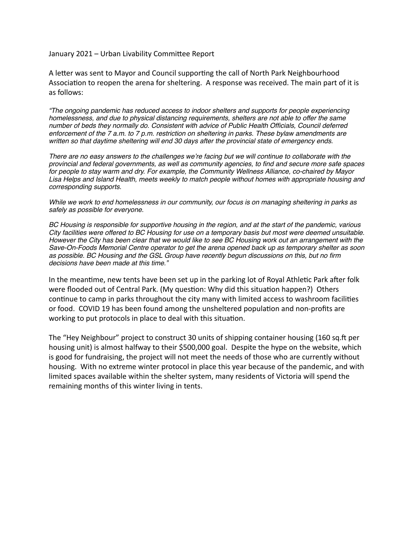January 2021 – Urban Livability Committee Report

A letter was sent to Mayor and Council supporting the call of North Park Neighbourhood Association to reopen the arena for sheltering. A response was received. The main part of it is as follows:

"The ongoing pandemic has reduced access to indoor shelters and supports for people experiencing homelessness, and due to physical distancing requirements, shelters are not able to offer the same number of beds they normally do. Consistent with advice of Public Health Officials, Council deferred enforcement of the 7 a.m. to 7 p.m. restriction on sheltering in parks. These bylaw amendments are written so that daytime sheltering will end 30 days after the provincial state of emergency ends.

There are no easy answers to the challenges we're facing but we will continue to collaborate with the provincial and federal governments, as well as community agencies, to find and secure more safe spaces for people to stay warm and dry. For example, the Community Wellness Alliance, co-chaired by Mayor Lisa Helps and Island Health, meets weekly to match people without homes with appropriate housing and corresponding supports.

While we work to end homelessness in our community, our focus is on managing sheltering in parks as safely as possible for everyone.

BC Housing is responsible for supportive housing in the region, and at the start of the pandemic, various City facilities were offered to BC Housing for use on a temporary basis but most were deemed unsuitable. However the City has been clear that we would like to see BC Housing work out an arrangement with the Save-On-Foods Memorial Centre operator to get the arena opened back up as temporary shelter as soon as possible. BC Housing and the GSL Group have recently begun discussions on this, but no firm decisions have been made at this time."

In the meantime, new tents have been set up in the parking lot of Royal Athletic Park after folk were flooded out of Central Park. (My question: Why did this situation happen?) Others continue to camp in parks throughout the city many with limited access to washroom facilities or food. COVID 19 has been found among the unsheltered population and non-profits are working to put protocols in place to deal with this situation.

The "Hey Neighbour" project to construct 30 units of shipping container housing (160 sq. ft per housing unit) is almost halfway to their \$500,000 goal. Despite the hype on the website, which is good for fundraising, the project will not meet the needs of those who are currently without housing. With no extreme winter protocol in place this year because of the pandemic, and with limited spaces available within the shelter system, many residents of Victoria will spend the remaining months of this winter living in tents.